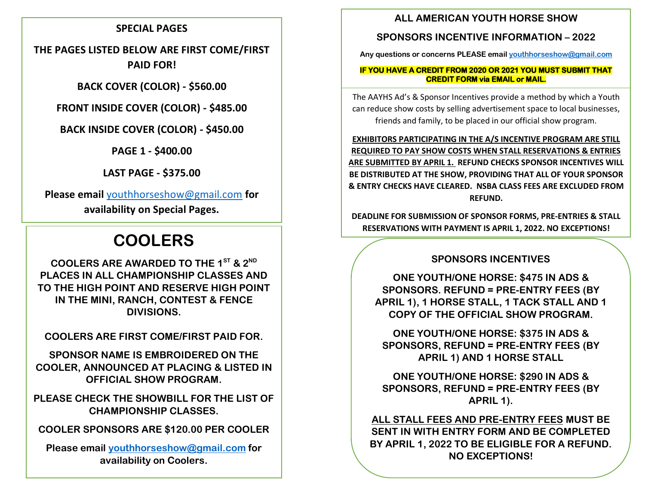### **SPECIAL PAGES**

**THE PAGES LISTED BELOW ARE FIRST COME/FIRST PAID FOR!**

**BACK COVER (COLOR) - \$560.00**

**FRONT INSIDE COVER (COLOR) - \$485.00**

**BACK INSIDE COVER (COLOR) - \$450.00**

**PAGE 1 - \$400.00**

**LAST PAGE - \$375.00**

**Please email** [youthhorseshow@gmail.com](mailto:youthhorseshow@gmail.com) **for availability on Special Pages.**

# **COOLERS**

**COOLERS ARE AWARDED TO THE 1ST & 2ND PLACES IN ALL CHAMPIONSHIP CLASSES AND TO THE HIGH POINT AND RESERVE HIGH POINT IN THE MINI, RANCH, CONTEST & FENCE DIVISIONS.**

**COOLERS ARE FIRST COME/FIRST PAID FOR.**

**SPONSOR NAME IS EMBROIDERED ON THE COOLER, ANNOUNCED AT PLACING & LISTED IN OFFICIAL SHOW PROGRAM.**

**PLEASE CHECK THE SHOWBILL FOR THE LIST OF CHAMPIONSHIP CLASSES.**

**COOLER SPONSORS ARE \$120.00 PER COOLER**

**Please email [youthhorseshow@gmail.com](mailto:youthhorseshow@gmail.com) for availability on Coolers.**

## **ALL AMERICAN YOUTH HORSE SHOW**

## **SPONSORS INCENTIVE INFORMATION – 2022**

**Any questions or concerns PLEASE email [youthhorseshow@gmail.com](mailto:youthhorseshow@gmail.com)**

#### **IF YOU HAVE A CREDIT FROM 2020 OR 2021 YOU MUST SUBMIT THAT CREDIT FORM via EMAIL or MAIL.**

The AAYHS Ad's & Sponsor Incentives provide a method by which a Youth can reduce show costs by selling advertisement space to local businesses, friends and family, to be placed in our official show program.

**EXHIBITORS PARTICIPATING IN THE A/S INCENTIVE PROGRAM ARE STILL REQUIRED TO PAY SHOW COSTS WHEN STALL RESERVATIONS & ENTRIES ARE SUBMITTED BY APRIL 1. REFUND CHECKS SPONSOR INCENTIVES WILL BE DISTRIBUTED AT THE SHOW, PROVIDING THAT ALL OF YOUR SPONSOR & ENTRY CHECKS HAVE CLEARED. NSBA CLASS FEES ARE EXCLUDED FROM REFUND.**

**DEADLINE FOR SUBMISSION OF SPONSOR FORMS, PRE-ENTRIES & STALL RESERVATIONS WITH PAYMENT IS APRIL 1, 2022. NO EXCEPTIONS!**

# **SPONSORS INCENTIVES**

**ONE YOUTH/ONE HORSE: \$475 IN ADS & SPONSORS. REFUND = PRE-ENTRY FEES (BY APRIL 1), 1 HORSE STALL, 1 TACK STALL AND 1 COPY OF THE OFFICIAL SHOW PROGRAM.**

**ONE YOUTH/ONE HORSE: \$375 IN ADS & SPONSORS, REFUND = PRE-ENTRY FEES (BY APRIL 1) AND 1 HORSE STALL**

**ONE YOUTH/ONE HORSE: \$290 IN ADS & SPONSORS, REFUND = PRE-ENTRY FEES (BY APRIL 1).**

**ALL STALL FEES AND PRE-ENTRY FEES MUST BE SENT IN WITH ENTRY FORM AND BE COMPLETED BY APRIL 1, 2022 TO BE ELIGIBLE FOR A REFUND. NO EXCEPTIONS!**